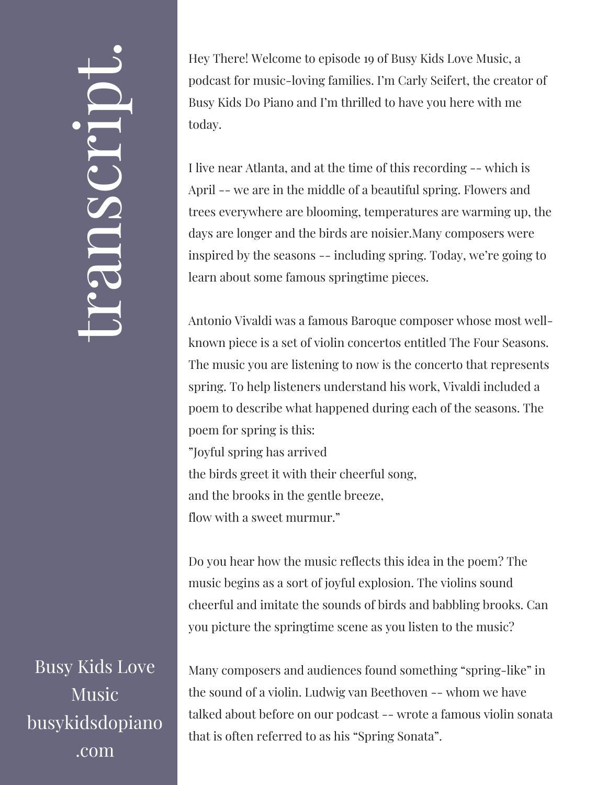## $\leftarrow$ ra<br>S n $\boldsymbol{C}$  $\bigcup$ r $\bullet$   $\overline{\phantom{1}}$  $\boxed{\phantom{1}}$  $\overline{\phantom{a}}$  $\bullet$

Busy Kids Love Music busykidsdopiano .com

Hey There! Welcome to episode 19 of Busy Kids Love Music, a podcast for music-loving families. I'm Carly Seifert, the creator of Busy Kids Do Piano and I'm thrilled to have you here with me today.

I live near Atlanta, and at the time of this recording -- which is April -- we are in the middle of a beautiful spring. Flowers and trees everywhere are blooming, temperatures are warming up, the days are longer and the birds are noisier.Many composers were inspired by the seasons -- including spring. Today, we're going to learn about some famous springtime pieces.

Antonio Vivaldi was a famous Baroque composer whose most wellknown piece is a set of violin concertos entitled The Four Seasons. The music you are listening to now is the concerto that represents spring. To help listeners understand his work, Vivaldi included a poem to describe what happened during each of the seasons. The poem for spring is this: "Joyful spring has arrived the birds greet it with their cheerful song,

and the brooks in the gentle breeze,

flow with a sweet murmur."

Do you hear how the music reflects this idea in the poem? The music begins as a sort of joyful explosion. The violins sound cheerful and imitate the sounds of birds and babbling brooks. Can you picture the springtime scene as you listen to the music?

Many composers and audiences found something "spring-like" in the sound of a violin. Ludwig van Beethoven -- whom we have talked about before on our podcast -- wrote a famous violin sonata that is often referred to as his "Spring Sonata".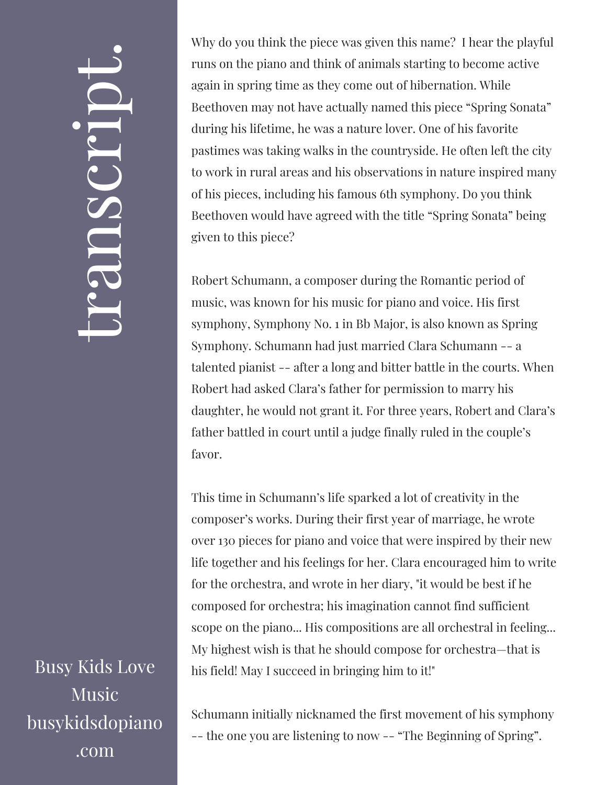## $\leftarrow$ ra<br>S n $\boldsymbol{C}$  $\bigcup$ r $\bullet$   $\overline{\phantom{1}}$  $\boxed{\phantom{1}}$  $\overline{\phantom{a}}$  $\bullet$

Busy Kids Love Music busykidsdopiano .com

Why do you think the piece was given this name? I hear the playful runs on the piano and think of animals starting to become active again in spring time as they come out of hibernation. While Beethoven may not have actually named this piece "Spring Sonata" during his lifetime, he was a nature lover. One of his favorite pastimes was taking walks in the countryside. He often left the city to work in rural areas and his observations in nature inspired many of his pieces, including his famous 6th symphony. Do you think Beethoven would have agreed with the title "Spring Sonata" being given to this piece?

Robert Schumann, a composer during the Romantic period of music, was known for his music for piano and voice. His first symphony, Symphony No. 1 in Bb Major, is also known as Spring Symphony. Schumann had just married Clara Schumann -- a talented pianist -- after a long and bitter battle in the courts. When Robert had asked Clara's father for permission to marry his daughter, he would not grant it. For three years, Robert and Clara's father battled in court until a judge finally ruled in the couple's favor.

This time in Schumann's life sparked a lot of creativity in the composer's works. During their first year of marriage, he wrote over 130 pieces for piano and voice that were inspired by their new life together and his feelings for her. Clara encouraged him to write for the orchestra, and wrote in her diary, "it would be best if he composed for orchestra; his imagination cannot find sufficient scope on the piano... His compositions are all orchestral in feeling... My highest wish is that he should compose for orchestra—that is his field! May I succeed in bringing him to it!"

Schumann initially nicknamed the first movement of his symphony -- the one you are listening to now -- "The Beginning of Spring".